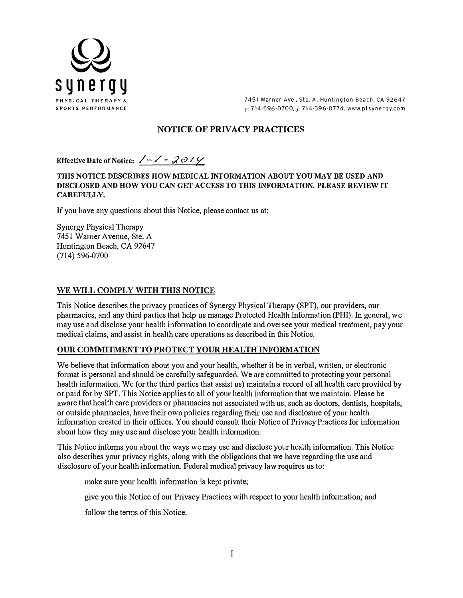

7451 Warner Ave., Ste. A, Huntington Beach, CA 92647 p: 714-596-0700, f: 714-596-0774, www.ptsynergy.com

# **NOTICE OF PRIVACY PRACTICES**

**Effective Date of Notice:**  $\angle - \angle - \angle 0$ 

**THIS NOTICE DESCRIBES HOW MEDICAL INFORMATION ABOUT YOU MAY BE USED AND DISCLOSED AND HOW YOU CAN GET ACCESS TO THIS INFORMATION. PLEASE REVIEW IT CAREFULLY.** 

If you have any questions about this Notice, please contact us at:

Synergy Physical Therapy 7451 Warner Avenue, Ste. A Huntington Beach, CA 92647 (714) 596-0700

## **WE WILL COMPLY WITH THIS NOTICE**

This Notice describes the privacy practices of Synergy Physical Therapy (SPT), our providers, our pharmacies, and any third parties that help us manage Protected Health Information (PHI). In general, we may use and disclose your health information to coordinate and oversee your medical treatment, pay your medical claims, and assist in health care operations as described in this Notice.

#### **OUR COMMITMENT TO PROTECT YOUR HEALTH INFORMATION**

We believe that information about you and your health, whether it be in verbal, written, or electronic format is personal and should be carefully safeguarded. We are committed to protecting your personal health information. We (or the third parties that assist us) maintain a record of all health care provided by or paid for by SPT. This Notice applies to all of your health information that we maintain. Please be aware that health care providers or pharmacies not associated with us, such as doctors, dentists, hospitals, or outside pharmacies, have their own policies regarding their use and disclosure of your health information created in their offices. You should consult their Notice of Privacy Practices for information about how they may use and disclose your health information.

This Notice informs you about the ways we may use and disclose your health information. This Notice also describes your privacy rights, along with the obligations that we have regarding the use and disclosure of your health information. Federal medical privacy law requires us to:

make sure your health information is kept private;

give you this Notice of our Privacy Practices with respect to your health information; and

follow the terms of this Notice.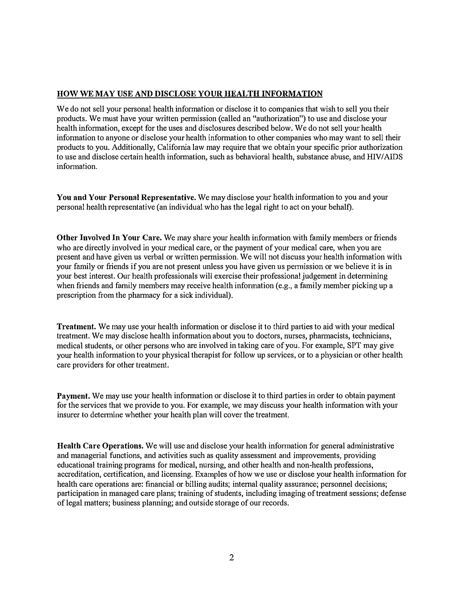# **HOW WE MAY USE AND DISCLOSE YOUR HEALTH INFORMATION**

We do not sell your personal health information or disclose it to companies that wish to sell you their products. We must have your written permission ( called an "authorization") to use and disclose your health information, except for the uses and disclosures described below. We do not sell your health infonnation to anyone or disclose your health information to other companies who may want to sell their products to you. Additionally, California law may require that we obtain your specific prior authorization to use and disclose certain health information, such as behavioral health, substance abuse, and HIV/AIDS information.

**You and Your Personal Representative.** We may disclose your health information to you and your personal health representative (an individual who has the legal right to act on your behalf).

**Other Involved In Your Care.** We may share your health information with family members or friends who are directly involved in your medical care, or the payment of your medical care, when you are present and have given us verbal or written permission. We will not discuss your health information with your family or friends if you are not present unless you have given us pennission or we believe it is in your best interest. Our health professionals will exercise their professional judgement in determining when friends and family members may receive health information (e.g., a family member picking up a prescription from the pharmacy for a sick individual).

**Treatment.** We may use your health information or disclose it to third parties to aid with your medical treatment. We may disclose health information about you to doctors, nurses, pharmacists, technicians, medical students, or other persons who are involved in taking care of you. For example, SPT may give your health information to your physical therapist for follow up services, or to a physician or other health care providers for other treatment.

**Payment.** We may use your health information or disclose it to third parties in order to obtain payment for the services that we provide to you. For example, we may discuss your health information with your insurer to determine whether your health plan will cover the treatment.

**Health Care Operations.** We will use and disclose your health infonnation for general administrative and managerial functions, and activities such as quality assessment and improvements, providing educational training programs for medical, nursing, and other health and non-health professions, accreditation, certification, and licensing. Examples of how we use or disclose your health information for health care operations are: financial or billing audits; internal quality assurance; personnel decisions; participation in managed care plans; training of students, including imaging of treatment sessions; defense of legal matters; business planning; and outside storage of our records.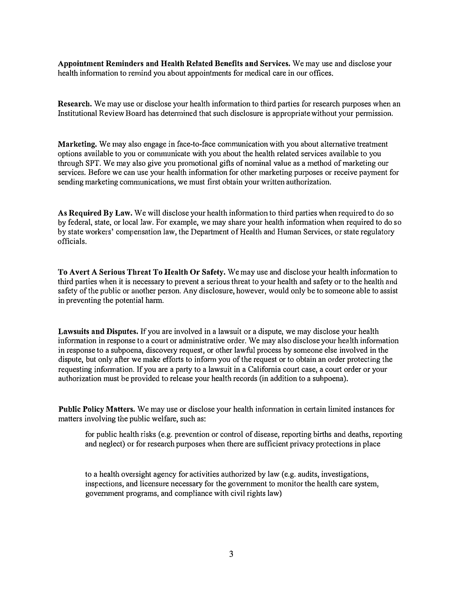**Appointment Reminders and Health Related Benefits and Services.** We may use and disclose your health information to remind you about appointments for medical care in our offices.

**Research.** We may use or disclose your health information to third parties for research purposes when an fustitutional Review Board has determined that such disclosure is appropriate without your permission.

**Marketing.** We may also engage in face-to-face communication with you about alternative treatment options available to you or conununicate with you about the health related services available to you through SPT. We may also give you promotional gifts of nominal value as a method of marketing our services. Before we can use your health information for other marketing purposes or receive payment for sending marketing communications, we must first obtain your written authorization.

**As Required By Law.** We will disclose your health information to third parties when required to do so by federal, state, or local law. For example, we may share your health information when required to do so by state workers' compensation law, the Department of Health and Human Services, or state regulatory officials.

**To Avert A Serious Threat To Health Or Safety.** We may use and disclose your health information to third parties when it is necessary to prevent a serious threat to your health and safety or to the health and safety of the public or another person. Any disclosure, however, would only be to someone able to assist in preventing the potential harm.

**Lawsuits and Disputes.** If you are involved in a lawsuit or a dispute, we may disclose your health information in response to a court or administrative order. We may also disclose your health information in response to a subpoena, discovery request, or other lawful process by someone else involved in the dispute, but only after we make efforts to inform you of the request or to obtain an order protecting the requesting infmmation. If you are a party to a lawsuit in a California court case, a court order or your authorization must be provided to release your health records (in addition to a subpoena).

**Public Policy Matters.** We may use or disclose your health information in certain limited instances for matters involving the public welfare, such as:

for public health risks (e.g. prevention or control of disease, reporting births and deaths, reporting and neglect) or for research purposes when there are sufficient privacy protections in place

to a health oversight agency for activities authorized by law (e.g. audits, investigations, inspections, and Iicensure necessary for the government to monitor the health care system, government programs, and compliance with civil rights law)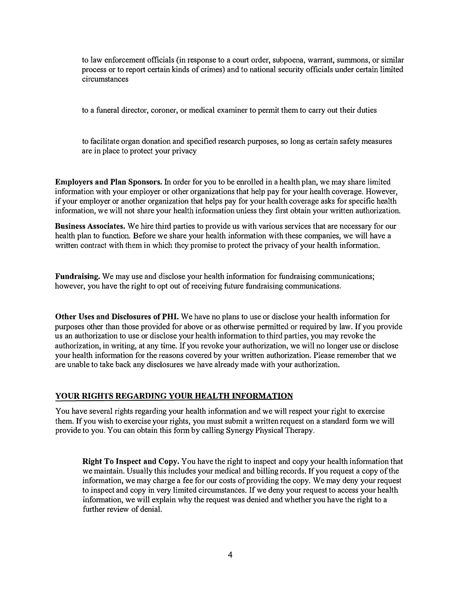to law enforcement officials (in response to a court order, subpoena, warrant, summons, or similar process or to report certain kinds of crimes) and to national security officials under certain limited circumstances

to a funeral director, coroner, or medical examiner to permit them to carry out their duties

to facilitate organ donation and specified research purposes, so long as certain safety measures are in place to protect your privacy

**Employers and Plan Sponsors.** In order for you to be enrolled in a health plan, we may share limited information with your employer or other organizations that help pay for your health coverage. However, if your employer or another organization that helps pay for your health coverage asks for specific health information, we will not share your health information unless they first obtain your written authorization.

**Business Associates.** We hire third parties to provide us with various services that are necessary for our health plan to function. Before we share your health information with these companies, we will have a written contract with them in which they promise to protect the privacy of your health information.

**Fundraising.** We may use and disclose your health information for fundraising communications; however, you have the right to opt out of receiving future fundraising communications.

**Other Uses and Disclosures of PHI.** We have no plans to use or disclose your health information for purposes other than those provided for above or as otherwise permitted or required by law. If you provide us an authorization to use or disclose your health information to third parties, you may revoke the authorization, in writing, at any time. If you revoke your authorization, we will no longer use or disclose your health information for the reasons covered by your written authorization. Please remember that we are unable to take back any disclosures we have already made with your authorization.

#### **YOUR RIGHTS REGARDING YOUR HEALTH INFORMATION**

You have several rights regarding your health infonnation and we will respect your right to exercise them. If you wish to exercise your rights, you must submit a written request on a standard form we will provide to you. You can obtain this form by calling Synergy Physical Therapy.

**Right To Inspect and Copy.** You have the right to inspect and copy your health information that we maintain. Usually this includes your medical and billing records. If you request a copy of the information, we may charge a fee for our costs of providing the copy. We may deny your request to inspect and copy in very limited circumstances. If we deny your request to access your health information, we will explain why the request was denied and whether you have the right to a further review of denial.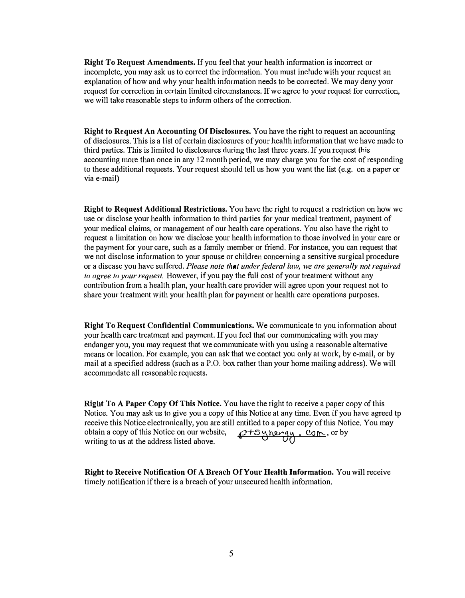**Right To Request Amendments.** If you feel that your health information is incorrect or incomplete, you may ask us to correct the infonnation. You must include with your request an explanation of how and why your health information needs to be corrected. We may deny your request for correction in certain limited circumstances. If we agree to your request for correction, we will take reasonable steps to inform others of the correction.

**Right to Request An Accounting Of Disclosures.** You have the right to request an accounting of disclosures. This is a list of certain disclosures of your health information that we have made to third parties. This is limited to disclosures during the last three years. If you request this accounting more than once in any 12 month period, we may charge you for the cost of responding to these additional requests. Your request should tell us how you want the list ( e.g. on a paper or via e-mail)

**Right to Request Additional Restrictions.** You have the right to request a restriction on how we use or disclose your health information to third patties for your medical treatment, payment of your medical claims, or management of our health care operations. You also have the right to request a limitation on how we disclose your health information to those involved in your care or the payment for your care, such as a family member or friend. For instance, you can request that we not disclose information to your spouse or children concerning a sensitive surgical procedure or a disease you have suffered. *Please note that under federal law, we are generally not required to agree to your request.* However, if you pay the full cost of your treatment without any contribution from a health plan, your health care provider will agree upon your request not to share your treatment with your health plan for payment or health care operations purposes.

**Right To Request Confidential Communications.** We communicate to you information about your health care treatment and payment. If you feel that our communicating with you may endanger you, you may request that we communicate with you using a reasonable alternative means or location. For example, you can ask that we contact you only at work, by e-mail, or by mail at a specified address (such as a P.O. box rather than your home mailing address). We will accommodate all reasonable requests.

**Right To A Paper Copy Of This Notice.** You have the right to receive a paper copy of this Notice. You may ask us to give you a copy of this Notice at any time. Even if you have agreed tp receive this Notice electronically, you are still entitled to a paper copy of this Notice. You may obtain a copy of this Notice on our website,  $Q$ +5 y hengy, com, or by writing to us at the address listed above.

**Right to Receive Notification Of A Breach Of Your Health Information.** You will receive timely notification if there is a breach of your unsecured health information.